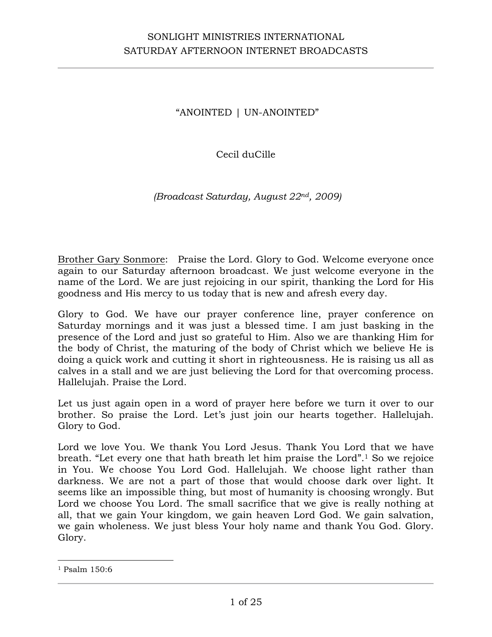"ANOINTED | UN-ANOINTED"

Cecil duCille

*(Broadcast Saturday, August 22nd, 2009)*

Brother Gary Sonmore: Praise the Lord. Glory to God. Welcome everyone once again to our Saturday afternoon broadcast. We just welcome everyone in the name of the Lord. We are just rejoicing in our spirit, thanking the Lord for His goodness and His mercy to us today that is new and afresh every day.

Glory to God. We have our prayer conference line, prayer conference on Saturday mornings and it was just a blessed time. I am just basking in the presence of the Lord and just so grateful to Him. Also we are thanking Him for the body of Christ, the maturing of the body of Christ which we believe He is doing a quick work and cutting it short in righteousness. He is raising us all as calves in a stall and we are just believing the Lord for that overcoming process. Hallelujah. Praise the Lord.

Let us just again open in a word of prayer here before we turn it over to our brother. So praise the Lord. Let's just join our hearts together. Hallelujah. Glory to God.

Lord we love You. We thank You Lord Jesus. Thank You Lord that we have breath. "Let every one that hath breath let him praise the Lord".1 So we rejoice in You. We choose You Lord God. Hallelujah. We choose light rather than darkness. We are not a part of those that would choose dark over light. It seems like an impossible thing, but most of humanity is choosing wrongly. But Lord we choose You Lord. The small sacrifice that we give is really nothing at all, that we gain Your kingdom, we gain heaven Lord God. We gain salvation, we gain wholeness. We just bless Your holy name and thank You God. Glory. Glory.

<sup>1</sup> Psalm 150:6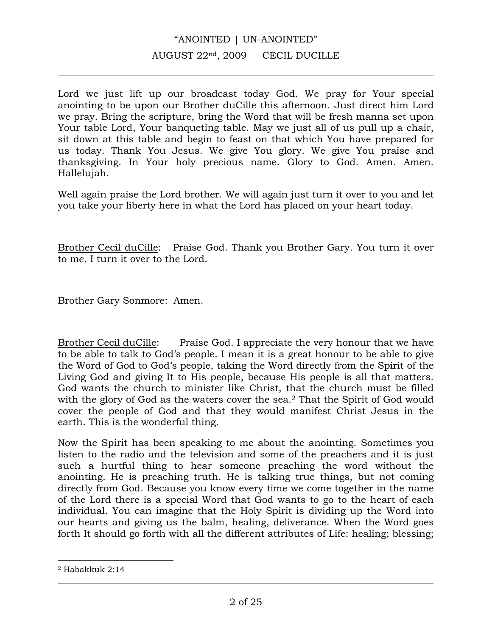# "ANOINTED | UN-ANOINTED" AUGUST 22nd, 2009 CECIL DUCILLE

Lord we just lift up our broadcast today God. We pray for Your special anointing to be upon our Brother duCille this afternoon. Just direct him Lord we pray. Bring the scripture, bring the Word that will be fresh manna set upon Your table Lord, Your banqueting table. May we just all of us pull up a chair, sit down at this table and begin to feast on that which You have prepared for us today. Thank You Jesus. We give You glory. We give You praise and thanksgiving. In Your holy precious name. Glory to God. Amen. Amen. Hallelujah.

Well again praise the Lord brother. We will again just turn it over to you and let you take your liberty here in what the Lord has placed on your heart today.

Brother Cecil duCille: Praise God. Thank you Brother Gary. You turn it over to me, I turn it over to the Lord.

Brother Gary Sonmore: Amen.

Brother Cecil duCille: Praise God. I appreciate the very honour that we have to be able to talk to God's people. I mean it is a great honour to be able to give the Word of God to God's people, taking the Word directly from the Spirit of the Living God and giving It to His people, because His people is all that matters. God wants the church to minister like Christ, that the church must be filled with the glory of God as the waters cover the sea.<sup>2</sup> That the Spirit of God would cover the people of God and that they would manifest Christ Jesus in the earth. This is the wonderful thing.

Now the Spirit has been speaking to me about the anointing. Sometimes you listen to the radio and the television and some of the preachers and it is just such a hurtful thing to hear someone preaching the word without the anointing. He is preaching truth. He is talking true things, but not coming directly from God. Because you know every time we come together in the name of the Lord there is a special Word that God wants to go to the heart of each individual. You can imagine that the Holy Spirit is dividing up the Word into our hearts and giving us the balm, healing, deliverance. When the Word goes forth It should go forth with all the different attributes of Life: healing; blessing;

<sup>2</sup> Habakkuk 2:14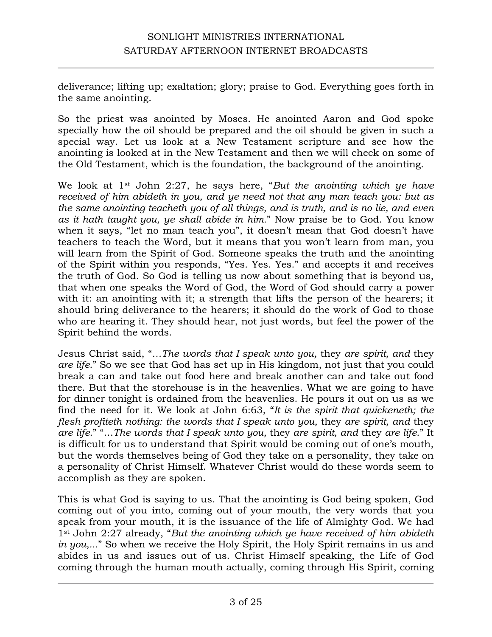deliverance; lifting up; exaltation; glory; praise to God. Everything goes forth in the same anointing.

So the priest was anointed by Moses. He anointed Aaron and God spoke specially how the oil should be prepared and the oil should be given in such a special way. Let us look at a New Testament scripture and see how the anointing is looked at in the New Testament and then we will check on some of the Old Testament, which is the foundation, the background of the anointing.

We look at 1st John 2:27, he says here, "*But the anointing which ye have received of him abideth in you, and ye need not that any man teach you: but as the same anointing teacheth you of all things, and is truth, and is no lie, and even as it hath taught you, ye shall abide in him.*" Now praise be to God. You know when it says, "let no man teach you", it doesn't mean that God doesn't have teachers to teach the Word, but it means that you won't learn from man, you will learn from the Spirit of God. Someone speaks the truth and the anointing of the Spirit within you responds, "Yes. Yes. Yes." and accepts it and receives the truth of God. So God is telling us now about something that is beyond us, that when one speaks the Word of God, the Word of God should carry a power with it: an anointing with it; a strength that lifts the person of the hearers; it should bring deliverance to the hearers; it should do the work of God to those who are hearing it. They should hear, not just words, but feel the power of the Spirit behind the words.

Jesus Christ said, "*…The words that I speak unto you,* they *are spirit, and* they *are life.*" So we see that God has set up in His kingdom, not just that you could break a can and take out food here and break another can and take out food there. But that the storehouse is in the heavenlies. What we are going to have for dinner tonight is ordained from the heavenlies. He pours it out on us as we find the need for it. We look at John 6:63, "*It is the spirit that quickeneth; the flesh profiteth nothing: the words that I speak unto you,* they *are spirit, and* they *are life.*" "…*The words that I speak unto you,* they *are spirit, and* they *are life.*" It is difficult for us to understand that Spirit would be coming out of one's mouth, but the words themselves being of God they take on a personality, they take on a personality of Christ Himself. Whatever Christ would do these words seem to accomplish as they are spoken.

This is what God is saying to us. That the anointing is God being spoken, God coming out of you into, coming out of your mouth, the very words that you speak from your mouth, it is the issuance of the life of Almighty God. We had 1st John 2:27 already, "*But the anointing which ye have received of him abideth in you,...*" So when we receive the Holy Spirit, the Holy Spirit remains in us and abides in us and issues out of us. Christ Himself speaking, the Life of God coming through the human mouth actually, coming through His Spirit, coming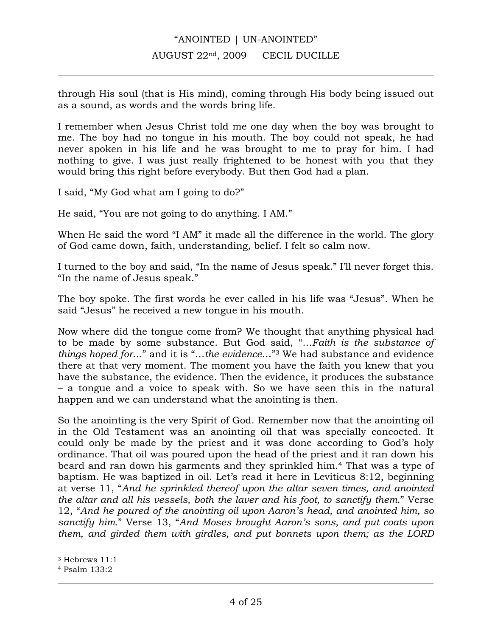through His soul (that is His mind), coming through His body being issued out as a sound, as words and the words bring life.

I remember when Jesus Christ told me one day when the boy was brought to me. The boy had no tongue in his mouth. The boy could not speak, he had never spoken in his life and he was brought to me to pray for him. I had nothing to give. I was just really frightened to be honest with you that they would bring this right before everybody. But then God had a plan.

I said, "My God what am I going to do?"

He said, "You are not going to do anything. I AM."

When He said the word "I AM" it made all the difference in the world. The glory of God came down, faith, understanding, belief. I felt so calm now.

I turned to the boy and said, "In the name of Jesus speak." I'll never forget this. "In the name of Jesus speak."

The boy spoke. The first words he ever called in his life was "Jesus". When he said "Jesus" he received a new tongue in his mouth.

Now where did the tongue come from? We thought that anything physical had to be made by some substance. But God said, "*…Faith is the substance of things hoped for…*" and it is "*…the evidence*…"3 We had substance and evidence there at that very moment. The moment you have the faith you knew that you have the substance, the evidence. Then the evidence, it produces the substance – a tongue and a voice to speak with. So we have seen this in the natural happen and we can understand what the anointing is then.

So the anointing is the very Spirit of God. Remember now that the anointing oil in the Old Testament was an anointing oil that was specially concocted. It could only be made by the priest and it was done according to God's holy ordinance. That oil was poured upon the head of the priest and it ran down his beard and ran down his garments and they sprinkled him.4 That was a type of baptism. He was baptized in oil. Let's read it here in Leviticus 8:12, beginning at verse 11, "*And he sprinkled thereof upon the altar seven times, and anointed the altar and all his vessels, both the laver and his foot, to sanctify them.*" Verse 12, "*And he poured of the anointing oil upon Aaron's head, and anointed him, so sanctify him.*" Verse 13, "*And Moses brought Aaron's sons, and put coats upon them, and girded them with girdles, and put bonnets upon them; as the LORD* 

<sup>3</sup> Hebrews 11:1

<sup>4</sup> Psalm 133:2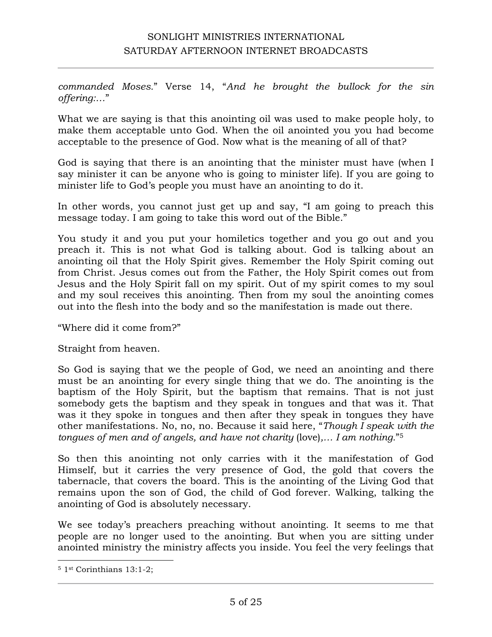*commanded Moses.*" Verse 14, "*And he brought the bullock for the sin offering:…*"

What we are saying is that this anointing oil was used to make people holy, to make them acceptable unto God. When the oil anointed you you had become acceptable to the presence of God. Now what is the meaning of all of that?

God is saying that there is an anointing that the minister must have (when I say minister it can be anyone who is going to minister life). If you are going to minister life to God's people you must have an anointing to do it.

In other words, you cannot just get up and say, "I am going to preach this message today. I am going to take this word out of the Bible."

You study it and you put your homiletics together and you go out and you preach it. This is not what God is talking about. God is talking about an anointing oil that the Holy Spirit gives. Remember the Holy Spirit coming out from Christ. Jesus comes out from the Father, the Holy Spirit comes out from Jesus and the Holy Spirit fall on my spirit. Out of my spirit comes to my soul and my soul receives this anointing. Then from my soul the anointing comes out into the flesh into the body and so the manifestation is made out there.

"Where did it come from?"

Straight from heaven.

So God is saying that we the people of God, we need an anointing and there must be an anointing for every single thing that we do. The anointing is the baptism of the Holy Spirit, but the baptism that remains. That is not just somebody gets the baptism and they speak in tongues and that was it. That was it they spoke in tongues and then after they speak in tongues they have other manifestations. No, no, no. Because it said here, "*Though I speak with the tongues of men and of angels, and have not charity* (love)*,… I am nothing.*"5

So then this anointing not only carries with it the manifestation of God Himself, but it carries the very presence of God, the gold that covers the tabernacle, that covers the board. This is the anointing of the Living God that remains upon the son of God, the child of God forever. Walking, talking the anointing of God is absolutely necessary.

We see today's preachers preaching without anointing. It seems to me that people are no longer used to the anointing. But when you are sitting under anointed ministry the ministry affects you inside. You feel the very feelings that

 $\overline{a}$ <sup>5</sup> 1st Corinthians 13:1-2;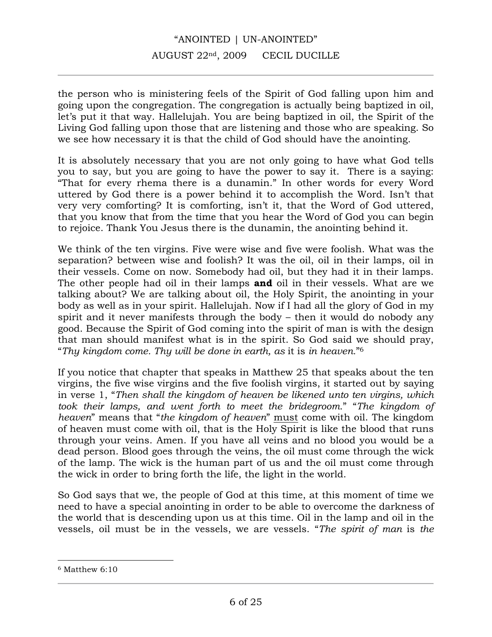## "ANOINTED | UN-ANOINTED" AUGUST 22nd, 2009 CECIL DUCILLE

the person who is ministering feels of the Spirit of God falling upon him and going upon the congregation. The congregation is actually being baptized in oil, let's put it that way. Hallelujah. You are being baptized in oil, the Spirit of the Living God falling upon those that are listening and those who are speaking. So we see how necessary it is that the child of God should have the anointing.

It is absolutely necessary that you are not only going to have what God tells you to say, but you are going to have the power to say it. There is a saying: "That for every rhema there is a dunamin." In other words for every Word uttered by God there is a power behind it to accomplish the Word. Isn't that very very comforting? It is comforting, isn't it, that the Word of God uttered, that you know that from the time that you hear the Word of God you can begin to rejoice. Thank You Jesus there is the dunamin, the anointing behind it.

We think of the ten virgins. Five were wise and five were foolish. What was the separation? between wise and foolish? It was the oil, oil in their lamps, oil in their vessels. Come on now. Somebody had oil, but they had it in their lamps. The other people had oil in their lamps **and** oil in their vessels. What are we talking about? We are talking about oil, the Holy Spirit, the anointing in your body as well as in your spirit. Hallelujah. Now if I had all the glory of God in my spirit and it never manifests through the body – then it would do nobody any good. Because the Spirit of God coming into the spirit of man is with the design that man should manifest what is in the spirit. So God said we should pray, "*Thy kingdom come. Thy will be done in earth, as* it is *in heaven.*"6

If you notice that chapter that speaks in Matthew 25 that speaks about the ten virgins, the five wise virgins and the five foolish virgins, it started out by saying in verse 1, "*Then shall the kingdom of heaven be likened unto ten virgins, which took their lamps, and went forth to meet the bridegroom.*" "*The kingdom of heaven*" means that "*the kingdom of heaven*" must come with oil. The kingdom of heaven must come with oil, that is the Holy Spirit is like the blood that runs through your veins. Amen. If you have all veins and no blood you would be a dead person. Blood goes through the veins, the oil must come through the wick of the lamp. The wick is the human part of us and the oil must come through the wick in order to bring forth the life, the light in the world.

So God says that we, the people of God at this time, at this moment of time we need to have a special anointing in order to be able to overcome the darkness of the world that is descending upon us at this time. Oil in the lamp and oil in the vessels, oil must be in the vessels, we are vessels. "*The spirit of man* is *the* 

<sup>6</sup> Matthew 6:10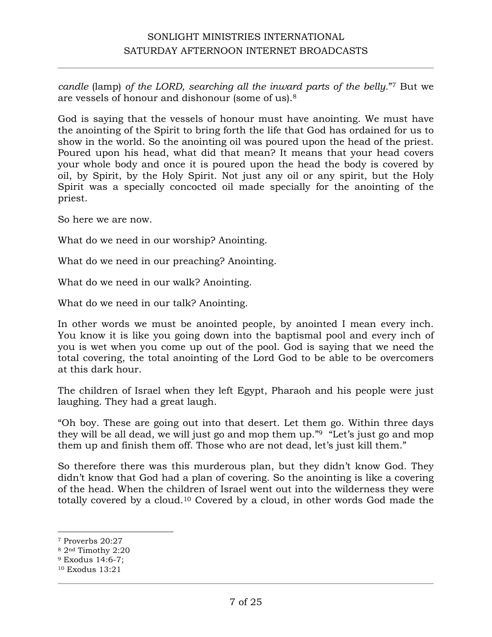*candle* (lamp) *of the LORD, searching all the inward parts of the belly.*"7 But we are vessels of honour and dishonour (some of us).8

God is saying that the vessels of honour must have anointing. We must have the anointing of the Spirit to bring forth the life that God has ordained for us to show in the world. So the anointing oil was poured upon the head of the priest. Poured upon his head, what did that mean? It means that your head covers your whole body and once it is poured upon the head the body is covered by oil, by Spirit, by the Holy Spirit. Not just any oil or any spirit, but the Holy Spirit was a specially concocted oil made specially for the anointing of the priest.

So here we are now.

What do we need in our worship? Anointing.

What do we need in our preaching? Anointing.

What do we need in our walk? Anointing.

What do we need in our talk? Anointing.

In other words we must be anointed people, by anointed I mean every inch. You know it is like you going down into the baptismal pool and every inch of you is wet when you come up out of the pool. God is saying that we need the total covering, the total anointing of the Lord God to be able to be overcomers at this dark hour.

The children of Israel when they left Egypt, Pharaoh and his people were just laughing. They had a great laugh.

"Oh boy. These are going out into that desert. Let them go. Within three days they will be all dead, we will just go and mop them up."9 "Let's just go and mop them up and finish them off. Those who are not dead, let's just kill them."

So therefore there was this murderous plan, but they didn't know God. They didn't know that God had a plan of covering. So the anointing is like a covering of the head. When the children of Israel went out into the wilderness they were totally covered by a cloud.10 Covered by a cloud, in other words God made the

<sup>7</sup> Proverbs 20:27

<sup>8</sup> 2nd Timothy 2:20

<sup>9</sup> Exodus 14:6-7;

<sup>10</sup> Exodus 13:21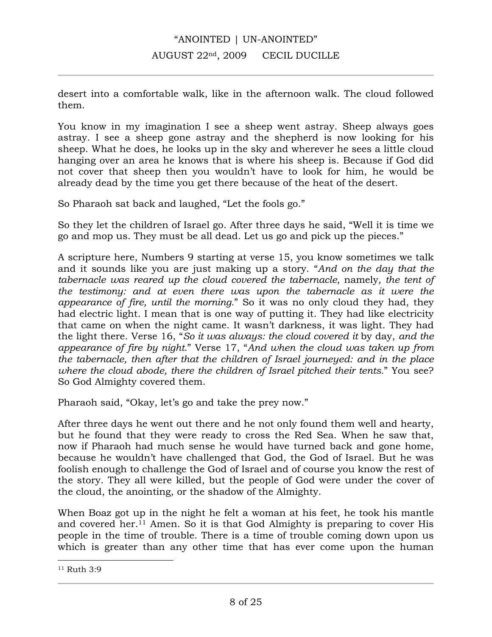desert into a comfortable walk, like in the afternoon walk. The cloud followed them.

You know in my imagination I see a sheep went astray. Sheep always goes astray. I see a sheep gone astray and the shepherd is now looking for his sheep. What he does, he looks up in the sky and wherever he sees a little cloud hanging over an area he knows that is where his sheep is. Because if God did not cover that sheep then you wouldn't have to look for him, he would be already dead by the time you get there because of the heat of the desert.

So Pharaoh sat back and laughed, "Let the fools go."

So they let the children of Israel go. After three days he said, "Well it is time we go and mop us. They must be all dead. Let us go and pick up the pieces."

A scripture here, Numbers 9 starting at verse 15, you know sometimes we talk and it sounds like you are just making up a story. "*And on the day that the tabernacle was reared up the cloud covered the tabernacle,* namely*, the tent of the testimony: and at even there was upon the tabernacle as it were the appearance of fire, until the morning.*" So it was no only cloud they had, they had electric light. I mean that is one way of putting it. They had like electricity that came on when the night came. It wasn't darkness, it was light. They had the light there. Verse 16, "*So it was always: the cloud covered it* by day, *and the appearance of fire by night.*" Verse 17, "*And when the cloud was taken up from the tabernacle, then after that the children of Israel journeyed: and in the place where the cloud abode, there the children of Israel pitched their tents.*" You see? So God Almighty covered them.

Pharaoh said, "Okay, let's go and take the prey now."

After three days he went out there and he not only found them well and hearty, but he found that they were ready to cross the Red Sea. When he saw that, now if Pharaoh had much sense he would have turned back and gone home, because he wouldn't have challenged that God, the God of Israel. But he was foolish enough to challenge the God of Israel and of course you know the rest of the story. They all were killed, but the people of God were under the cover of the cloud, the anointing, or the shadow of the Almighty.

When Boaz got up in the night he felt a woman at his feet, he took his mantle and covered her.11 Amen. So it is that God Almighty is preparing to cover His people in the time of trouble. There is a time of trouble coming down upon us which is greater than any other time that has ever come upon the human

<sup>11</sup> Ruth 3:9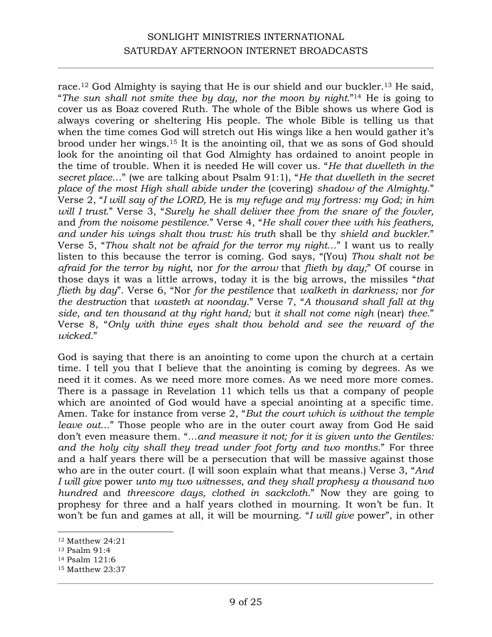race.<sup>12</sup> God Almighty is saying that He is our shield and our buckler.<sup>13</sup> He said, "*The sun shall not smite thee by day, nor the moon by night.*"14 He is going to cover us as Boaz covered Ruth. The whole of the Bible shows us where God is always covering or sheltering His people. The whole Bible is telling us that when the time comes God will stretch out His wings like a hen would gather it's brood under her wings.15 It is the anointing oil, that we as sons of God should look for the anointing oil that God Almighty has ordained to anoint people in the time of trouble. When it is needed He will cover us. "*He that dwelleth in the secret place*…" (we are talking about Psalm 91:1), "*He that dwelleth in the secret place of the most High shall abide under the* (covering) *shadow of the Almighty.*" Verse 2, "*I will say of the LORD,* He is *my refuge and my fortress: my God; in him will I trust.*" Verse 3, "*Surely he shall deliver thee from the snare of the fowler,*  and *from the noisome pestilence.*" Verse 4, "*He shall cover thee with his feathers, and under his wings shalt thou trust: his truth* shall be thy *shield and buckler.*" Verse 5, "*Thou shalt not be afraid for the terror my night…*" I want us to really listen to this because the terror is coming. God says, "(You) *Thou shalt not be afraid for the terror by night*, nor *for the arrow* that *flieth by day;*" Of course in those days it was a little arrows, today it is the big arrows, the missiles "*that flieth by day*". Verse 6, "Nor *for the pestilence* that *walketh in darkness;* nor *for the destruction* that *wasteth at noonday.*" Verse 7, "*A thousand shall fall at thy side, and ten thousand at thy right hand;* but *it shall not come nigh* (near) *thee.*" Verse 8, "*Only with thine eyes shalt thou behold and see the reward of the wicked.*"

God is saying that there is an anointing to come upon the church at a certain time. I tell you that I believe that the anointing is coming by degrees. As we need it it comes. As we need more more comes. As we need more more comes. There is a passage in Revelation 11 which tells us that a company of people which are anointed of God would have a special anointing at a specific time. Amen. Take for instance from verse 2, "*But the court which is without the temple leave out…*" Those people who are in the outer court away from God He said don't even measure them. "*…and measure it not; for it is given unto the Gentiles: and the holy city shall they tread under foot forty and two months.*" For three and a half years there will be a persecution that will be massive against those who are in the outer court. (I will soon explain what that means.) Verse 3, "*And I will give* power *unto my two witnesses, and they shall prophesy a thousand two hundred* and *threescore days, clothed in sackcloth.*" Now they are going to prophesy for three and a half years clothed in mourning. It won't be fun. It won't be fun and games at all, it will be mourning. "*I will give* power", in other

<sup>12</sup> Matthew 24:21

<sup>13</sup> Psalm 91:4

<sup>14</sup> Psalm 121:6

<sup>15</sup> Matthew 23:37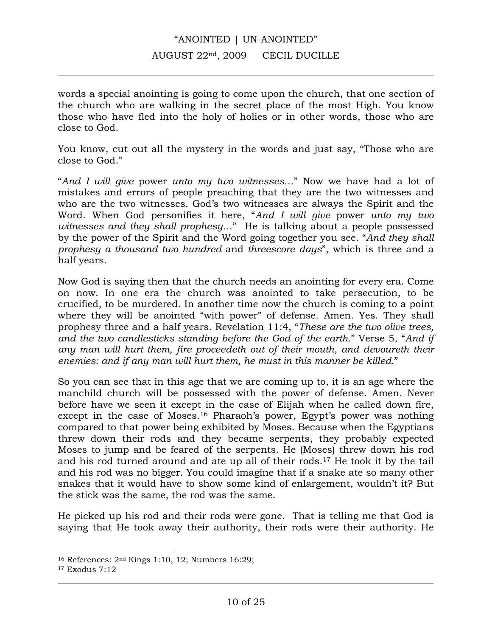words a special anointing is going to come upon the church, that one section of the church who are walking in the secret place of the most High. You know those who have fled into the holy of holies or in other words, those who are close to God.

You know, cut out all the mystery in the words and just say, "Those who are close to God."

"*And I will give* power *unto my two witnesses…*" Now we have had a lot of mistakes and errors of people preaching that they are the two witnesses and who are the two witnesses. God's two witnesses are always the Spirit and the Word. When God personifies it here, "*And I will give* power *unto my two witnesses and they shall prophesy…*" He is talking about a people possessed by the power of the Spirit and the Word going together you see. "*And they shall prophesy a thousand two hundred* and *threescore days*", which is three and a half years.

Now God is saying then that the church needs an anointing for every era. Come on now. In one era the church was anointed to take persecution, to be crucified, to be murdered. In another time now the church is coming to a point where they will be anointed "with power" of defense. Amen. Yes. They shall prophesy three and a half years. Revelation 11:4, "*These are the two olive trees, and the two candlesticks standing before the God of the earth.*" Verse 5, "*And if any man will hurt them, fire proceedeth out of their mouth, and devoureth their enemies: and if any man will hurt them, he must in this manner be killed.*"

So you can see that in this age that we are coming up to, it is an age where the manchild church will be possessed with the power of defense. Amen. Never before have we seen it except in the case of Elijah when he called down fire, except in the case of Moses.<sup>16</sup> Pharaoh's power, Egypt's power was nothing compared to that power being exhibited by Moses. Because when the Egyptians threw down their rods and they became serpents, they probably expected Moses to jump and be feared of the serpents. He (Moses) threw down his rod and his rod turned around and ate up all of their rods.17 He took it by the tail and his rod was no bigger. You could imagine that if a snake ate so many other snakes that it would have to show some kind of enlargement, wouldn't it? But the stick was the same, the rod was the same.

He picked up his rod and their rods were gone. That is telling me that God is saying that He took away their authority, their rods were their authority. He

<sup>16</sup> References: 2nd Kings 1:10, 12; Numbers 16:29;

<sup>17</sup> Exodus 7:12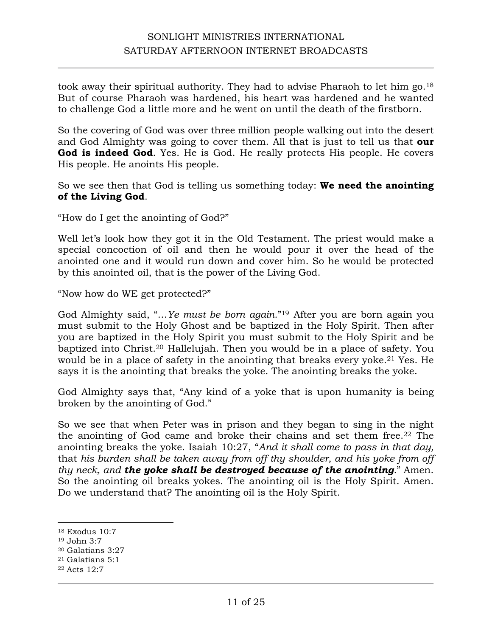took away their spiritual authority. They had to advise Pharaoh to let him go.18 But of course Pharaoh was hardened, his heart was hardened and he wanted to challenge God a little more and he went on until the death of the firstborn.

So the covering of God was over three million people walking out into the desert and God Almighty was going to cover them. All that is just to tell us that **our God is indeed God**. Yes. He is God. He really protects His people. He covers His people. He anoints His people.

So we see then that God is telling us something today: **We need the anointing of the Living God**.

"How do I get the anointing of God?"

Well let's look how they got it in the Old Testament. The priest would make a special concoction of oil and then he would pour it over the head of the anointed one and it would run down and cover him. So he would be protected by this anointed oil, that is the power of the Living God.

"Now how do WE get protected?"

God Almighty said, "…*Ye must be born again*."19 After you are born again you must submit to the Holy Ghost and be baptized in the Holy Spirit. Then after you are baptized in the Holy Spirit you must submit to the Holy Spirit and be baptized into Christ.20 Hallelujah. Then you would be in a place of safety. You would be in a place of safety in the anointing that breaks every yoke.<sup>21</sup> Yes. He says it is the anointing that breaks the yoke. The anointing breaks the yoke.

God Almighty says that, "Any kind of a yoke that is upon humanity is being broken by the anointing of God."

So we see that when Peter was in prison and they began to sing in the night the anointing of God came and broke their chains and set them free.22 The anointing breaks the yoke. Isaiah 10:27, "*And it shall come to pass in that day,*  that *his burden shall be taken away from off thy shoulder, and his yoke from off thy neck, and the yoke shall be destroyed because of the anointing.*" Amen. So the anointing oil breaks yokes. The anointing oil is the Holy Spirit. Amen. Do we understand that? The anointing oil is the Holy Spirit.

<sup>18</sup> Exodus 10:7

<sup>19</sup> John 3:7

<sup>20</sup> Galatians 3:27

<sup>21</sup> Galatians 5:1

<sup>22</sup> Acts 12:7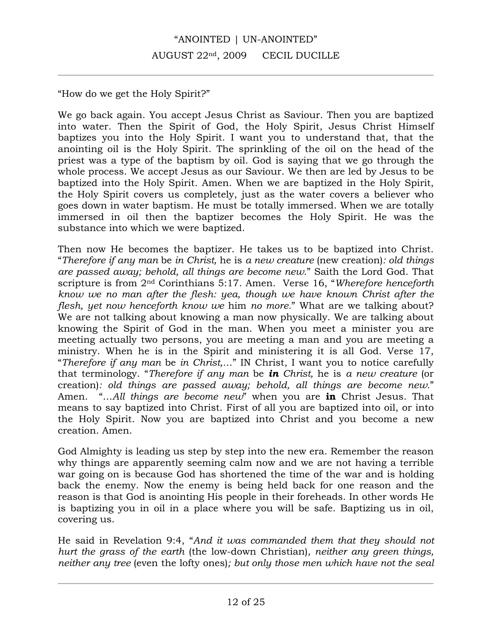"How do we get the Holy Spirit?"

We go back again. You accept Jesus Christ as Saviour. Then you are baptized into water. Then the Spirit of God, the Holy Spirit, Jesus Christ Himself baptizes you into the Holy Spirit. I want you to understand that, that the anointing oil is the Holy Spirit. The sprinkling of the oil on the head of the priest was a type of the baptism by oil. God is saying that we go through the whole process. We accept Jesus as our Saviour. We then are led by Jesus to be baptized into the Holy Spirit. Amen. When we are baptized in the Holy Spirit, the Holy Spirit covers us completely, just as the water covers a believer who goes down in water baptism. He must be totally immersed. When we are totally immersed in oil then the baptizer becomes the Holy Spirit. He was the substance into which we were baptized.

Then now He becomes the baptizer. He takes us to be baptized into Christ. "*Therefore if any man* be *in Christ,* he is *a new creature* (new creation)*: old things are passed away; behold, all things are become new.*" Saith the Lord God. That scripture is from 2nd Corinthians 5:17. Amen. Verse 16, "*Wherefore henceforth know we no man after the flesh: yea, though we have known Christ after the flesh, yet now henceforth know we* him *no more.*" What are we talking about? We are not talking about knowing a man now physically. We are talking about knowing the Spirit of God in the man. When you meet a minister you are meeting actually two persons, you are meeting a man and you are meeting a ministry. When he is in the Spirit and ministering it is all God. Verse 17, "*Therefore if any man* be *in Christ,…*" IN Christ, I want you to notice carefully that terminology. "*Therefore if any man* be *in Christ,* he is *a new creature* (or creation)*: old things are passed away; behold, all things are become new.*" Amen. "…*All things are become new*" when you are **in** Christ Jesus. That means to say baptized into Christ. First of all you are baptized into oil, or into the Holy Spirit. Now you are baptized into Christ and you become a new creation. Amen.

God Almighty is leading us step by step into the new era. Remember the reason why things are apparently seeming calm now and we are not having a terrible war going on is because God has shortened the time of the war and is holding back the enemy. Now the enemy is being held back for one reason and the reason is that God is anointing His people in their foreheads. In other words He is baptizing you in oil in a place where you will be safe. Baptizing us in oil, covering us.

He said in Revelation 9:4, "*And it was commanded them that they should not hurt the grass of the earth* (the low-down Christian)*, neither any green things, neither any tree* (even the lofty ones)*; but only those men which have not the seal*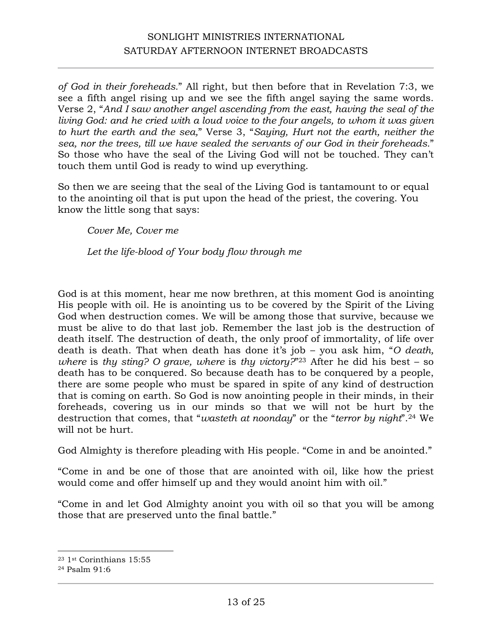*of God in their foreheads.*" All right, but then before that in Revelation 7:3, we see a fifth angel rising up and we see the fifth angel saying the same words. Verse 2, "*And I saw another angel ascending from the east, having the seal of the living God: and he cried with a loud voice to the four angels, to whom it was given to hurt the earth and the sea,*" Verse 3, "*Saying, Hurt not the earth, neither the sea, nor the trees, till we have sealed the servants of our God in their foreheads.*" So those who have the seal of the Living God will not be touched. They can't touch them until God is ready to wind up everything.

So then we are seeing that the seal of the Living God is tantamount to or equal to the anointing oil that is put upon the head of the priest, the covering. You know the little song that says:

*Cover Me, Cover me*

*Let the life-blood of Your body flow through me*

God is at this moment, hear me now brethren, at this moment God is anointing His people with oil. He is anointing us to be covered by the Spirit of the Living God when destruction comes. We will be among those that survive, because we must be alive to do that last job. Remember the last job is the destruction of death itself. The destruction of death, the only proof of immortality, of life over death is death. That when death has done it's job – you ask him, "*O death, where* is *thy sting? O grave, where* is *thy victory?*"23 After he did his best – so death has to be conquered. So because death has to be conquered by a people, there are some people who must be spared in spite of any kind of destruction that is coming on earth. So God is now anointing people in their minds, in their foreheads, covering us in our minds so that we will not be hurt by the destruction that comes, that "*wasteth at noonday*" or the "*terror by night*".24 We will not be hurt.

God Almighty is therefore pleading with His people. "Come in and be anointed."

"Come in and be one of those that are anointed with oil, like how the priest would come and offer himself up and they would anoint him with oil."

"Come in and let God Almighty anoint you with oil so that you will be among those that are preserved unto the final battle."

<sup>23</sup> 1st Corinthians 15:55

<sup>24</sup> Psalm 91:6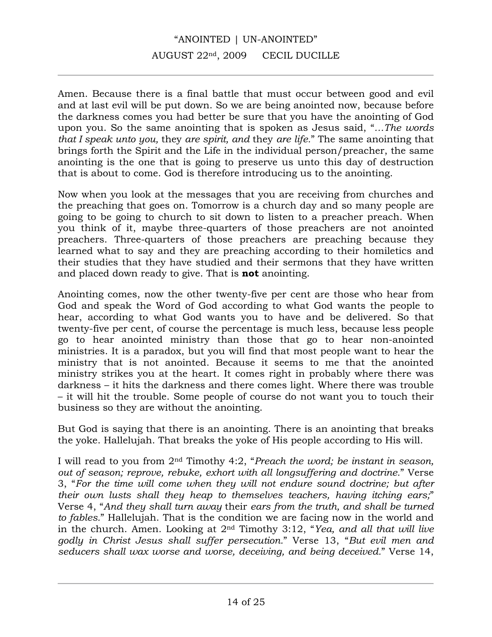# "ANOINTED | UN-ANOINTED" AUGUST 22nd, 2009 CECIL DUCILLE

Amen. Because there is a final battle that must occur between good and evil and at last evil will be put down. So we are being anointed now, because before the darkness comes you had better be sure that you have the anointing of God upon you. So the same anointing that is spoken as Jesus said, "*…The words that I speak unto you,* they *are spirit, and* they *are life.*" The same anointing that brings forth the Spirit and the Life in the individual person/preacher, the same anointing is the one that is going to preserve us unto this day of destruction that is about to come. God is therefore introducing us to the anointing.

Now when you look at the messages that you are receiving from churches and the preaching that goes on. Tomorrow is a church day and so many people are going to be going to church to sit down to listen to a preacher preach. When you think of it, maybe three-quarters of those preachers are not anointed preachers. Three-quarters of those preachers are preaching because they learned what to say and they are preaching according to their homiletics and their studies that they have studied and their sermons that they have written and placed down ready to give. That is **not** anointing.

Anointing comes, now the other twenty-five per cent are those who hear from God and speak the Word of God according to what God wants the people to hear, according to what God wants you to have and be delivered. So that twenty-five per cent, of course the percentage is much less, because less people go to hear anointed ministry than those that go to hear non-anointed ministries. It is a paradox, but you will find that most people want to hear the ministry that is not anointed. Because it seems to me that the anointed ministry strikes you at the heart. It comes right in probably where there was darkness – it hits the darkness and there comes light. Where there was trouble – it will hit the trouble. Some people of course do not want you to touch their business so they are without the anointing.

But God is saying that there is an anointing. There is an anointing that breaks the yoke. Hallelujah. That breaks the yoke of His people according to His will.

I will read to you from 2nd Timothy 4:2, "*Preach the word; be instant in season, out of season; reprove, rebuke, exhort with all longsuffering and doctrine.*" Verse 3, "*For the time will come when they will not endure sound doctrine; but after their own lusts shall they heap to themselves teachers, having itching ears;*" Verse 4, "*And they shall turn away* their *ears from the truth, and shall be turned to fables.*" Hallelujah. That is the condition we are facing now in the world and in the church. Amen. Looking at 2nd Timothy 3:12, "*Yea, and all that will live godly in Christ Jesus shall suffer persecution.*" Verse 13, "*But evil men and seducers shall wax worse and worse, deceiving, and being deceived.*" Verse 14,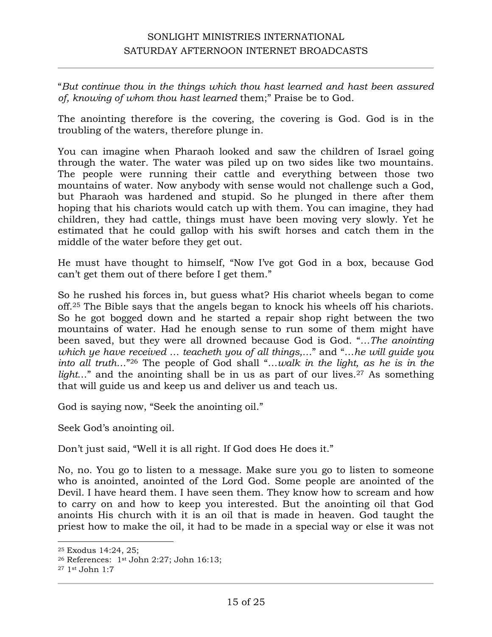"*But continue thou in the things which thou hast learned and hast been assured of, knowing of whom thou hast learned* them;" Praise be to God.

The anointing therefore is the covering, the covering is God. God is in the troubling of the waters, therefore plunge in.

You can imagine when Pharaoh looked and saw the children of Israel going through the water. The water was piled up on two sides like two mountains. The people were running their cattle and everything between those two mountains of water. Now anybody with sense would not challenge such a God, but Pharaoh was hardened and stupid. So he plunged in there after them hoping that his chariots would catch up with them. You can imagine, they had children, they had cattle, things must have been moving very slowly. Yet he estimated that he could gallop with his swift horses and catch them in the middle of the water before they get out.

He must have thought to himself, "Now I've got God in a box, because God can't get them out of there before I get them."

So he rushed his forces in, but guess what? His chariot wheels began to come off.25 The Bible says that the angels began to knock his wheels off his chariots. So he got bogged down and he started a repair shop right between the two mountains of water. Had he enough sense to run some of them might have been saved, but they were all drowned because God is God. "*…The anointing which ye have received … teacheth you of all things,…*" and "…*he will guide you into all truth…*"26 The people of God shall "…*walk in the light, as he is in the*  light..." and the anointing shall be in us as part of our lives.<sup>27</sup> As something that will guide us and keep us and deliver us and teach us.

God is saying now, "Seek the anointing oil."

Seek God's anointing oil.

Don't just said, "Well it is all right. If God does He does it."

No, no. You go to listen to a message. Make sure you go to listen to someone who is anointed, anointed of the Lord God. Some people are anointed of the Devil. I have heard them. I have seen them. They know how to scream and how to carry on and how to keep you interested. But the anointing oil that God anoints His church with it is an oil that is made in heaven. God taught the priest how to make the oil, it had to be made in a special way or else it was not

<sup>25</sup> Exodus 14:24, 25;

<sup>26</sup> References: 1st John 2:27; John 16:13;

<sup>27</sup> 1st John 1:7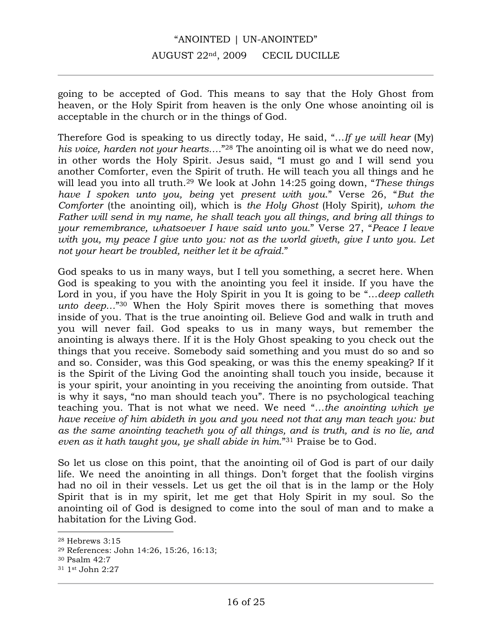going to be accepted of God. This means to say that the Holy Ghost from heaven, or the Holy Spirit from heaven is the only One whose anointing oil is acceptable in the church or in the things of God.

Therefore God is speaking to us directly today, He said, "…*If ye will hear* (My) *his voice, harden not your hearts….*"28 The anointing oil is what we do need now, in other words the Holy Spirit. Jesus said, "I must go and I will send you another Comforter, even the Spirit of truth. He will teach you all things and he will lead you into all truth.29 We look at John 14:25 going down, "*These things have I spoken unto you, being* yet *present with you*." Verse 26, "*But the Comforter* (the anointing oil)*,* which is *the Holy Ghost* (Holy Spirit)*, whom the Father will send in my name, he shall teach you all things, and bring all things to your remembrance, whatsoever I have said unto you.*" Verse 27, "*Peace I leave with you, my peace I give unto you: not as the world giveth, give I unto you. Let not your heart be troubled, neither let it be afraid.*"

God speaks to us in many ways, but I tell you something, a secret here. When God is speaking to you with the anointing you feel it inside. If you have the Lord in you, if you have the Holy Spirit in you It is going to be "…*deep calleth unto deep…*"30 When the Holy Spirit moves there is something that moves inside of you. That is the true anointing oil. Believe God and walk in truth and you will never fail. God speaks to us in many ways, but remember the anointing is always there. If it is the Holy Ghost speaking to you check out the things that you receive. Somebody said something and you must do so and so and so. Consider, was this God speaking, or was this the enemy speaking? If it is the Spirit of the Living God the anointing shall touch you inside, because it is your spirit, your anointing in you receiving the anointing from outside. That is why it says, "no man should teach you". There is no psychological teaching teaching you. That is not what we need. We need "*…the anointing which ye have receive of him abideth in you and you need not that any man teach you: but as the same anointing teacheth you of all things, and is truth, and is no lie, and even as it hath taught you, ye shall abide in him.*"31 Praise be to God.

So let us close on this point, that the anointing oil of God is part of our daily life. We need the anointing in all things. Don't forget that the foolish virgins had no oil in their vessels. Let us get the oil that is in the lamp or the Holy Spirit that is in my spirit, let me get that Holy Spirit in my soul. So the anointing oil of God is designed to come into the soul of man and to make a habitation for the Living God.

<sup>28</sup> Hebrews 3:15

<sup>29</sup> References: John 14:26, 15:26, 16:13;

<sup>30</sup> Psalm 42:7

<sup>31</sup> 1st John 2:27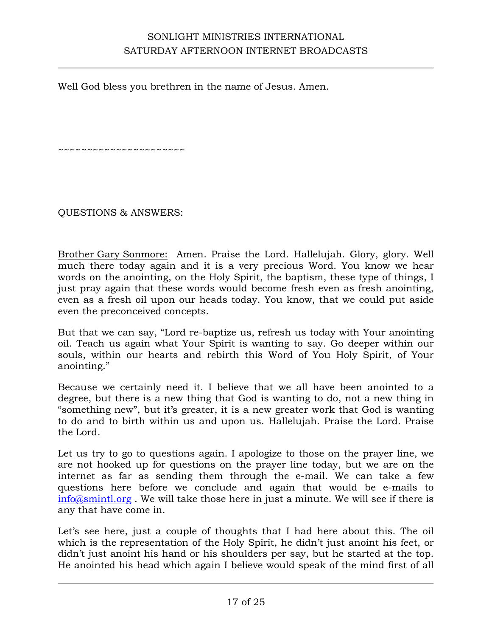Well God bless you brethren in the name of Jesus. Amen.

~~~~~~~~~~~~~~~~~~

QUESTIONS & ANSWERS:

Brother Gary Sonmore: Amen. Praise the Lord. Hallelujah. Glory, glory. Well much there today again and it is a very precious Word. You know we hear words on the anointing, on the Holy Spirit, the baptism, these type of things, I just pray again that these words would become fresh even as fresh anointing, even as a fresh oil upon our heads today. You know, that we could put aside even the preconceived concepts.

But that we can say, "Lord re-baptize us, refresh us today with Your anointing oil. Teach us again what Your Spirit is wanting to say. Go deeper within our souls, within our hearts and rebirth this Word of You Holy Spirit, of Your anointing."

Because we certainly need it. I believe that we all have been anointed to a degree, but there is a new thing that God is wanting to do, not a new thing in "something new", but it's greater, it is a new greater work that God is wanting to do and to birth within us and upon us. Hallelujah. Praise the Lord. Praise the Lord.

Let us try to go to questions again. I apologize to those on the prayer line, we are not hooked up for questions on the prayer line today, but we are on the internet as far as sending them through the e-mail. We can take a few questions here before we conclude and again that would be e-mails to info@smintl.org . We will take those here in just a minute. We will see if there is any that have come in.

Let's see here, just a couple of thoughts that I had here about this. The oil which is the representation of the Holy Spirit, he didn't just anoint his feet, or didn't just anoint his hand or his shoulders per say, but he started at the top. He anointed his head which again I believe would speak of the mind first of all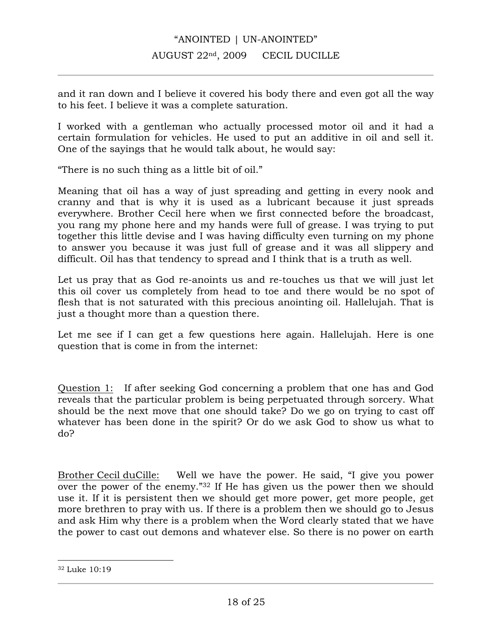and it ran down and I believe it covered his body there and even got all the way to his feet. I believe it was a complete saturation.

I worked with a gentleman who actually processed motor oil and it had a certain formulation for vehicles. He used to put an additive in oil and sell it. One of the sayings that he would talk about, he would say:

"There is no such thing as a little bit of oil."

Meaning that oil has a way of just spreading and getting in every nook and cranny and that is why it is used as a lubricant because it just spreads everywhere. Brother Cecil here when we first connected before the broadcast, you rang my phone here and my hands were full of grease. I was trying to put together this little devise and I was having difficulty even turning on my phone to answer you because it was just full of grease and it was all slippery and difficult. Oil has that tendency to spread and I think that is a truth as well.

Let us pray that as God re-anoints us and re-touches us that we will just let this oil cover us completely from head to toe and there would be no spot of flesh that is not saturated with this precious anointing oil. Hallelujah. That is just a thought more than a question there.

Let me see if I can get a few questions here again. Hallelujah. Here is one question that is come in from the internet:

Question 1: If after seeking God concerning a problem that one has and God reveals that the particular problem is being perpetuated through sorcery. What should be the next move that one should take? Do we go on trying to cast off whatever has been done in the spirit? Or do we ask God to show us what to do?

Brother Cecil duCille: Well we have the power. He said, "I give you power over the power of the enemy."32 If He has given us the power then we should use it. If it is persistent then we should get more power, get more people, get more brethren to pray with us. If there is a problem then we should go to Jesus and ask Him why there is a problem when the Word clearly stated that we have the power to cast out demons and whatever else. So there is no power on earth

<sup>32</sup> Luke 10:19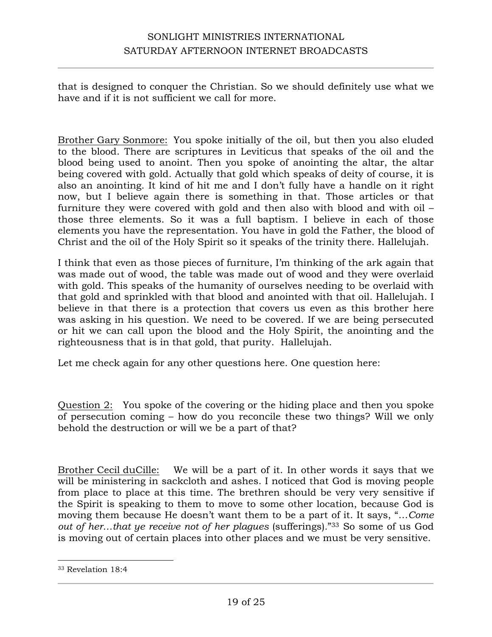that is designed to conquer the Christian. So we should definitely use what we have and if it is not sufficient we call for more.

Brother Gary Sonmore: You spoke initially of the oil, but then you also eluded to the blood. There are scriptures in Leviticus that speaks of the oil and the blood being used to anoint. Then you spoke of anointing the altar, the altar being covered with gold. Actually that gold which speaks of deity of course, it is also an anointing. It kind of hit me and I don't fully have a handle on it right now, but I believe again there is something in that. Those articles or that furniture they were covered with gold and then also with blood and with oil – those three elements. So it was a full baptism. I believe in each of those elements you have the representation. You have in gold the Father, the blood of Christ and the oil of the Holy Spirit so it speaks of the trinity there. Hallelujah.

I think that even as those pieces of furniture, I'm thinking of the ark again that was made out of wood, the table was made out of wood and they were overlaid with gold. This speaks of the humanity of ourselves needing to be overlaid with that gold and sprinkled with that blood and anointed with that oil. Hallelujah. I believe in that there is a protection that covers us even as this brother here was asking in his question. We need to be covered. If we are being persecuted or hit we can call upon the blood and the Holy Spirit, the anointing and the righteousness that is in that gold, that purity. Hallelujah.

Let me check again for any other questions here. One question here:

Question 2: You spoke of the covering or the hiding place and then you spoke of persecution coming – how do you reconcile these two things? Will we only behold the destruction or will we be a part of that?

Brother Cecil duCille: We will be a part of it. In other words it says that we will be ministering in sackcloth and ashes. I noticed that God is moving people from place to place at this time. The brethren should be very very sensitive if the Spirit is speaking to them to move to some other location, because God is moving them because He doesn't want them to be a part of it. It says, "…*Come out of her…that ye receive not of her plagues* (sufferings)."<sup>33</sup> So some of us God is moving out of certain places into other places and we must be very sensitive.

<sup>33</sup> Revelation 18:4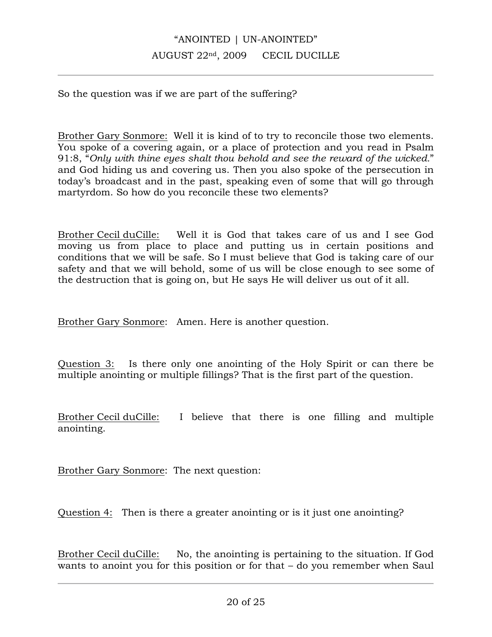So the question was if we are part of the suffering?

Brother Gary Sonmore: Well it is kind of to try to reconcile those two elements. You spoke of a covering again, or a place of protection and you read in Psalm 91:8, "*Only with thine eyes shalt thou behold and see the reward of the wicked.*" and God hiding us and covering us. Then you also spoke of the persecution in today's broadcast and in the past, speaking even of some that will go through martyrdom. So how do you reconcile these two elements?

Brother Cecil duCille: Well it is God that takes care of us and I see God moving us from place to place and putting us in certain positions and conditions that we will be safe. So I must believe that God is taking care of our safety and that we will behold, some of us will be close enough to see some of the destruction that is going on, but He says He will deliver us out of it all.

Brother Gary Sonmore: Amen. Here is another question.

Question 3: Is there only one anointing of the Holy Spirit or can there be multiple anointing or multiple fillings? That is the first part of the question.

Brother Cecil duCille: I believe that there is one filling and multiple anointing.

Brother Gary Sonmore: The next question:

Question 4: Then is there a greater anointing or is it just one anointing?

Brother Cecil duCille: No, the anointing is pertaining to the situation. If God wants to anoint you for this position or for that – do you remember when Saul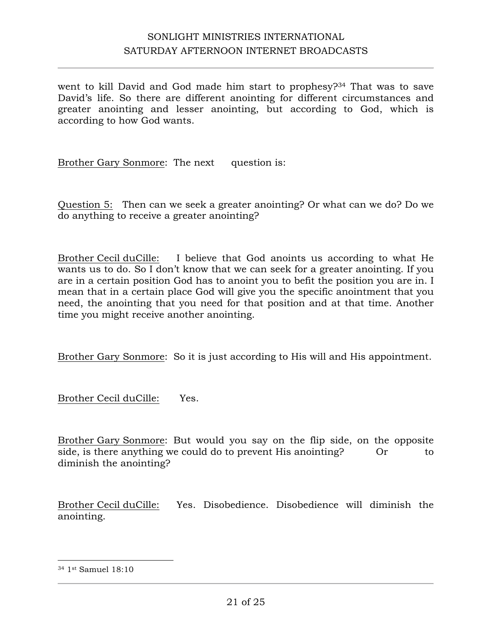went to kill David and God made him start to prophesy?<sup>34</sup> That was to save David's life. So there are different anointing for different circumstances and greater anointing and lesser anointing, but according to God, which is according to how God wants.

Brother Gary Sonmore: The next question is:

Question 5: Then can we seek a greater anointing? Or what can we do? Do we do anything to receive a greater anointing?

Brother Cecil duCille: I believe that God anoints us according to what He wants us to do. So I don't know that we can seek for a greater anointing. If you are in a certain position God has to anoint you to befit the position you are in. I mean that in a certain place God will give you the specific anointment that you need, the anointing that you need for that position and at that time. Another time you might receive another anointing.

Brother Gary Sonmore: So it is just according to His will and His appointment.

Brother Cecil duCille: Yes.

Brother Gary Sonmore: But would you say on the flip side, on the opposite side, is there anything we could do to prevent His anointing? Or to diminish the anointing?

Brother Cecil duCille: Yes. Disobedience. Disobedience will diminish the anointing.

<sup>34</sup> 1st Samuel 18:10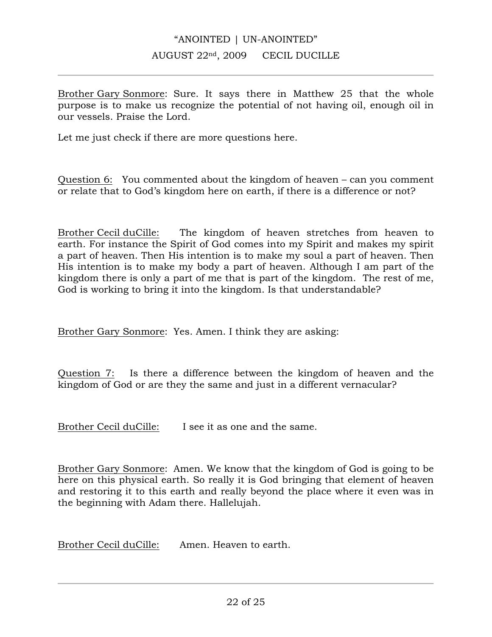Brother Gary Sonmore: Sure. It says there in Matthew 25 that the whole purpose is to make us recognize the potential of not having oil, enough oil in our vessels. Praise the Lord.

Let me just check if there are more questions here.

Question 6: You commented about the kingdom of heaven – can you comment or relate that to God's kingdom here on earth, if there is a difference or not?

Brother Cecil duCille: The kingdom of heaven stretches from heaven to earth. For instance the Spirit of God comes into my Spirit and makes my spirit a part of heaven. Then His intention is to make my soul a part of heaven. Then His intention is to make my body a part of heaven. Although I am part of the kingdom there is only a part of me that is part of the kingdom. The rest of me, God is working to bring it into the kingdom. Is that understandable?

Brother Gary Sonmore: Yes. Amen. I think they are asking:

Question 7: Is there a difference between the kingdom of heaven and the kingdom of God or are they the same and just in a different vernacular?

Brother Cecil duCille: I see it as one and the same.

Brother Gary Sonmore: Amen. We know that the kingdom of God is going to be here on this physical earth. So really it is God bringing that element of heaven and restoring it to this earth and really beyond the place where it even was in the beginning with Adam there. Hallelujah.

Brother Cecil duCille: Amen. Heaven to earth.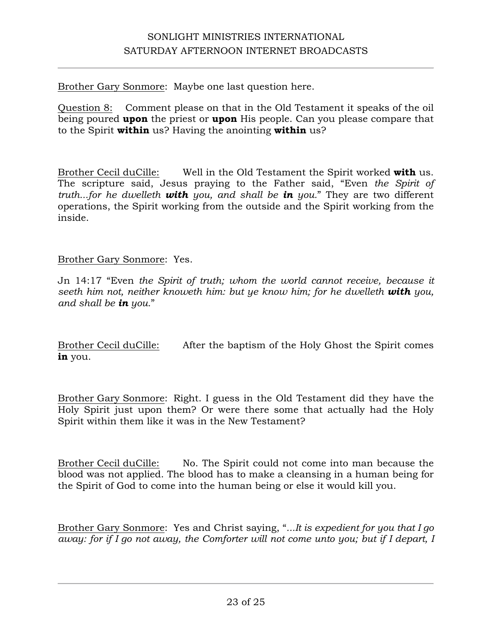Brother Gary Sonmore: Maybe one last question here.

Question 8: Comment please on that in the Old Testament it speaks of the oil being poured **upon** the priest or **upon** His people. Can you please compare that to the Spirit **within** us? Having the anointing **within** us?

Brother Cecil duCille: Well in the Old Testament the Spirit worked **with** us. The scripture said, Jesus praying to the Father said, "Even *the Spirit of truth...for he dwelleth with you, and shall be in you.*" They are two different operations, the Spirit working from the outside and the Spirit working from the inside.

#### Brother Gary Sonmore: Yes.

Jn 14:17 "Even *the Spirit of truth; whom the world cannot receive, because it seeth him not, neither knoweth him: but ye know him; for he dwelleth with you, and shall be in you.*"

Brother Cecil duCille: After the baptism of the Holy Ghost the Spirit comes **in** you.

Brother Gary Sonmore: Right. I guess in the Old Testament did they have the Holy Spirit just upon them? Or were there some that actually had the Holy Spirit within them like it was in the New Testament?

Brother Cecil duCille: No. The Spirit could not come into man because the blood was not applied. The blood has to make a cleansing in a human being for the Spirit of God to come into the human being or else it would kill you.

Brother Gary Sonmore: Yes and Christ saying, "*...It is expedient for you that I go away: for if I go not away, the Comforter will not come unto you; but if I depart, I*